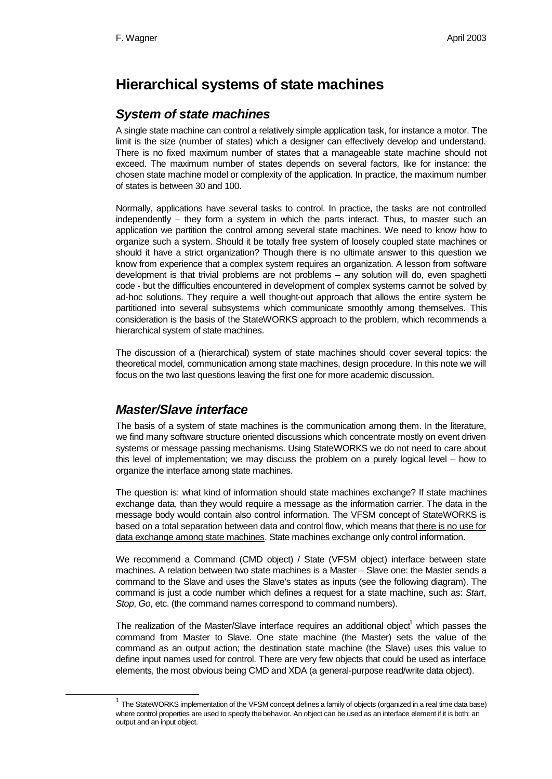# **Hierarchical systems of state machines**

## *System of state machines*

A single state machine can control a relatively simple application task, for instance a motor. The limit is the size (number of states) which a designer can effectively develop and understand. There is no fixed maximum number of states that a manageable state machine should not exceed. The maximum number of states depends on several factors, like for instance: the chosen state machine model or complexity of the application. In practice, the maximum number of states is between 30 and 100.

Normally, applications have several tasks to control. In practice, the tasks are not controlled independently – they form a system in which the parts interact. Thus, to master such an application we partition the control among several state machines. We need to know how to organize such a system. Should it be totally free system of loosely coupled state machines or should it have a strict organization? Though there is no ultimate answer to this question we know from experience that a complex system requires an organization. A lesson from software development is that trivial problems are not problems – any solution will do, even spaghetti code - but the difficulties encountered in development of complex systems cannot be solved by ad-hoc solutions. They require a well thought-out approach that allows the entire system be partitioned into several subsystems which communicate smoothly among themselves. This consideration is the basis of the StateWORKS approach to the problem, which recommends a hierarchical system of state machines.

The discussion of a (hierarchical) system of state machines should cover several topics: the theoretical model, communication among state machines, design procedure. In this note we will focus on the two last questions leaving the first one for more academic discussion.

# *Master/Slave interface*

l

The basis of a system of state machines is the communication among them. In the literature, we find many software structure oriented discussions which concentrate mostly on event driven systems or message passing mechanisms. Using StateWORKS we do not need to care about this level of implementation; we may discuss the problem on a purely logical level – how to organize the interface among state machines.

The question is: what kind of information should state machines exchange? If state machines exchange data, than they would require a message as the information carrier. The data in the message body would contain also control information. The VFSM concept of StateWORKS is based on a total separation between data and control flow, which means that there is no use for data exchange among state machines. State machines exchange only control information.

We recommend a Command (CMD object) / State (VFSM object) interface between state machines. A relation between two state machines is a Master – Slave one: the Master sends a command to the Slave and uses the Slave's states as inputs (see the following diagram). The command is just a code number which defines a request for a state machine, such as: *Start*, *Stop*, *Go*, etc. (the command names correspond to command numbers).

The realization of the Master/Slave interface requires an additional object $<sup>1</sup>$  which passes the</sup> command from Master to Slave. One state machine (the Master) sets the value of the command as an output action; the destination state machine (the Slave) uses this value to define input names used for control. There are very few objects that could be used as interface elements, the most obvious being CMD and XDA (a general-purpose read/write data object).

 $1$  The StateWORKS implementation of the VFSM concept defines a family of objects (organized in a real time data base) where control properties are used to specify the behavior. An object can be used as an interface element if it is both: an output and an input object.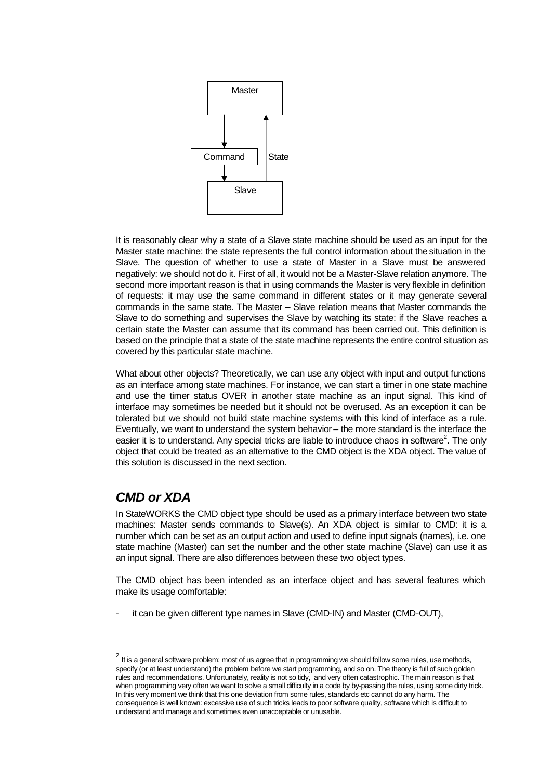

It is reasonably clear why a state of a Slave state machine should be used as an input for the Master state machine: the state represents the full control information about the situation in the Slave. The question of whether to use a state of Master in a Slave must be answered negatively: we should not do it. First of all, it would not be a Master-Slave relation anymore. The second more important reason is that in using commands the Master is very flexible in definition of requests: it may use the same command in different states or it may generate several commands in the same state. The Master – Slave relation means that Master commands the Slave to do something and supervises the Slave by watching its state: if the Slave reaches a certain state the Master can assume that its command has been carried out. This definition is based on the principle that a state of the state machine represents the entire control situation as covered by this particular state machine.

What about other objects? Theoretically, we can use any object with input and output functions as an interface among state machines. For instance, we can start a timer in one state machine and use the timer status OVER in another state machine as an input signal. This kind of interface may sometimes be needed but it should not be overused. As an exception it can be tolerated but we should not build state machine systems with this kind of interface as a rule. Eventually, we want to understand the system behavior – the more standard is the interface the easier it is to understand. Any special tricks are liable to introduce chaos in software<sup>2</sup>. The only object that could be treated as an alternative to the CMD object is the XDA object. The value of this solution is discussed in the next section.

## *CMD or XDA*

l

In StateWORKS the CMD object type should be used as a primary interface between two state machines: Master sends commands to Slave(s). An XDA object is similar to CMD: it is a number which can be set as an output action and used to define input signals (names), i.e. one state machine (Master) can set the number and the other state machine (Slave) can use it as an input signal. There are also differences between these two object types.

The CMD object has been intended as an interface object and has several features which make its usage comfortable:

it can be given different type names in Slave (CMD-IN) and Master (CMD-OUT),

 $^2$  It is a general software problem: most of us agree that in programming we should follow some rules, use methods, specify (or at least understand) the problem before we start programming, and so on. The theory is full of such golden rules and recommendations. Unfortunately, reality is not so tidy, and very often catastrophic. The main reason is that when programming very often we want to solve a small difficulty in a code by by-passing the rules, using some dirty trick. In this very moment we think that this one deviation from some rules, standards etc cannot do any harm. The consequence is well known: excessive use of such tricks leads to poor software quality, software which is difficult to understand and manage and sometimes even unacceptable or unusable.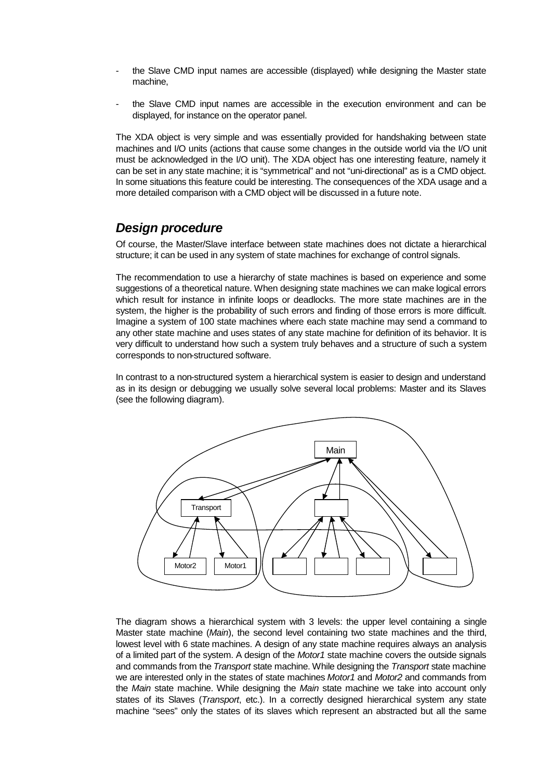- the Slave CMD input names are accessible (displayed) while designing the Master state machine,
- the Slave CMD input names are accessible in the execution environment and can be displayed, for instance on the operator panel.

The XDA object is very simple and was essentially provided for handshaking between state machines and I/O units (actions that cause some changes in the outside world via the I/O unit must be acknowledged in the I/O unit). The XDA object has one interesting feature, namely it can be set in any state machine; it is "symmetrical" and not "uni-directional" as is a CMD object. In some situations this feature could be interesting. The consequences of the XDA usage and a more detailed comparison with a CMD object will be discussed in a future note.

#### *Design procedure*

Of course, the Master/Slave interface between state machines does not dictate a hierarchical structure; it can be used in any system of state machines for exchange of control signals.

The recommendation to use a hierarchy of state machines is based on experience and some suggestions of a theoretical nature. When designing state machines we can make logical errors which result for instance in infinite loops or deadlocks. The more state machines are in the system, the higher is the probability of such errors and finding of those errors is more difficult. Imagine a system of 100 state machines where each state machine may send a command to any other state machine and uses states of any state machine for definition of its behavior. It is very difficult to understand how such a system truly behaves and a structure of such a system corresponds to non-structured software.

In contrast to a non-structured system a hierarchical system is easier to design and understand as in its design or debugging we usually solve several local problems: Master and its Slaves (see the following diagram).



The diagram shows a hierarchical system with 3 levels: the upper level containing a single Master state machine (*Main*), the second level containing two state machines and the third, lowest level with 6 state machines. A design of any state machine requires always an analysis of a limited part of the system. A design of the *Motor1* state machine covers the outside signals and commands from the *Transport* state machine. While designing the *Transport* state machine we are interested only in the states of state machines *Motor1* and *Motor2* and commands from the *Main* state machine. While designing the *Main* state machine we take into account only states of its Slaves (*Transport*, etc.). In a correctly designed hierarchical system any state machine "sees" only the states of its slaves which represent an abstracted but all the same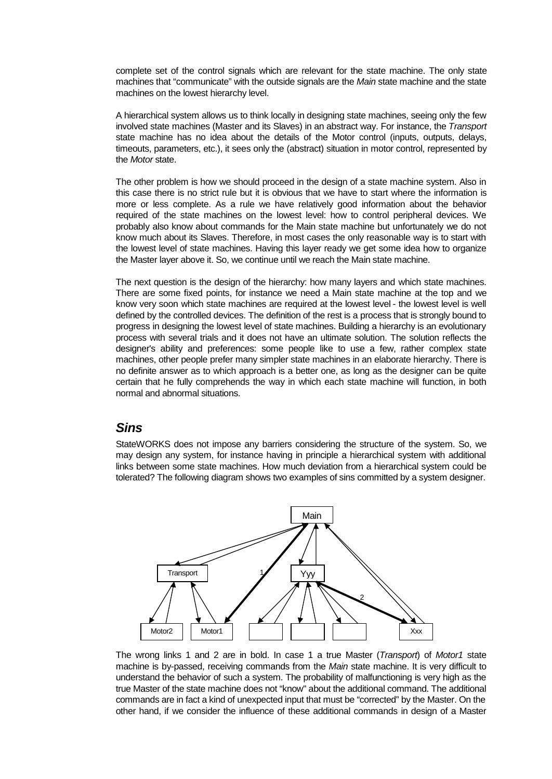complete set of the control signals which are relevant for the state machine. The only state machines that "communicate" with the outside signals are the *Main* state machine and the state machines on the lowest hierarchy level.

A hierarchical system allows us to think locally in designing state machines, seeing only the few involved state machines (Master and its Slaves) in an abstract way. For instance, the *Transport* state machine has no idea about the details of the Motor control (inputs, outputs, delays, timeouts, parameters, etc.), it sees only the (abstract) situation in motor control, represented by the *Motor* state.

The other problem is how we should proceed in the design of a state machine system. Also in this case there is no strict rule but it is obvious that we have to start where the information is more or less complete. As a rule we have relatively good information about the behavior required of the state machines on the lowest level: how to control peripheral devices. We probably also know about commands for the Main state machine but unfortunately we do not know much about its Slaves. Therefore, in most cases the only reasonable way is to start with the lowest level of state machines. Having this layer ready we get some idea how to organize the Master layer above it. So, we continue until we reach the Main state machine.

The next question is the design of the hierarchy: how many layers and which state machines. There are some fixed points, for instance we need a Main state machine at the top and we know very soon which state machines are required at the lowest level - the lowest level is well defined by the controlled devices. The definition of the rest is a process that is strongly bound to progress in designing the lowest level of state machines. Building a hierarchy is an evolutionary process with several trials and it does not have an ultimate solution. The solution reflects the designer's ability and preferences: some people like to use a few, rather complex state machines, other people prefer many simpler state machines in an elaborate hierarchy. There is no definite answer as to which approach is a better one, as long as the designer can be quite certain that he fully comprehends the way in which each state machine will function, in both normal and abnormal situations.

#### *Sins*

StateWORKS does not impose any barriers considering the structure of the system. So, we may design any system, for instance having in principle a hierarchical system with additional links between some state machines. How much deviation from a hierarchical system could be tolerated? The following diagram shows two examples of sins committed by a system designer.



The wrong links 1 and 2 are in bold. In case 1 a true Master (*Transport*) of *Motor1* state machine is by-passed, receiving commands from the *Main* state machine. It is very difficult to understand the behavior of such a system. The probability of malfunctioning is very high as the true Master of the state machine does not "know" about the additional command. The additional commands are in fact a kind of unexpected input that must be "corrected" by the Master. On the other hand, if we consider the influence of these additional commands in design of a Master